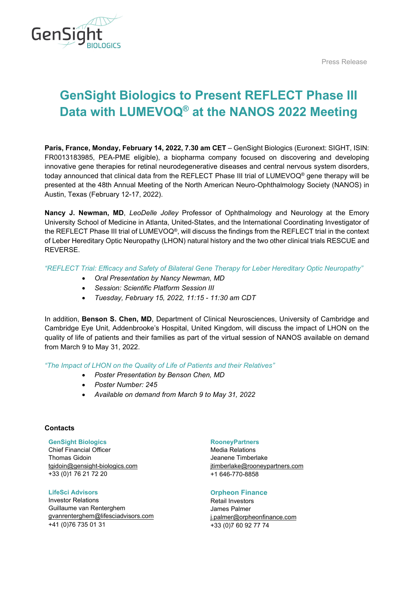Press Release



# **GenSight Biologics to Present REFLECT Phase III Data with LUMEVOQ® at the NANOS 2022 Meeting**

**Paris, France, Monday, February 14, 2022, 7.30 am CET** – GenSight Biologics (Euronext: SIGHT, ISIN: FR0013183985, PEA-PME eligible), a biopharma company focused on discovering and developing innovative gene therapies for retinal neurodegenerative diseases and central nervous system disorders, today announced that clinical data from the REFLECT Phase III trial of LUMEVOQ® gene therapy will be presented at the 48th Annual Meeting of the North American Neuro-Ophthalmology Society (NANOS) in Austin, Texas (February 12-17, 2022).

**Nancy J. Newman, MD**, *LeoDelle Jolley* Professor of Ophthalmology and Neurology at the Emory University School of Medicine in Atlanta, United-States, and the International Coordinating Investigator of the REFLECT Phase III trial of LUMEVOQ®, will discuss the findings from the REFLECT trial in the context of Leber Hereditary Optic Neuropathy (LHON) natural history and the two other clinical trials RESCUE and REVERSE.

*"REFLECT Trial: Efficacy and Safety of Bilateral Gene Therapy for Leber Hereditary Optic Neuropathy"*

- *Oral Presentation by Nancy Newman, MD*
- *Session: Scientific Platform Session III*
- *Tuesday, February 15, 2022, 11:15 - 11:30 am CDT*

In addition, **Benson S. Chen, MD**, Department of Clinical Neurosciences, University of Cambridge and Cambridge Eye Unit, Addenbrooke's Hospital, United Kingdom, will discuss the impact of LHON on the quality of life of patients and their families as part of the virtual session of NANOS available on demand from March 9 to May 31, 2022.

*"The Impact of LHON on the Quality of Life of Patients and their Relatives"*

- *Poster Presentation by Benson Chen, MD*
- *Poster Number: 245*
- *Available on demand from March 9 to May 31, 2022*

# **Contacts**

**GenSight Biologics** Chief Financial Officer Thomas Gidoin [tgidoin@gensight-biologics.com](mailto:tgidoin@gensight-biologics.com)

+33 (0)1 76 21 72 20 **LifeSci Advisors**

Investor Relations Guillaume van Renterghem [gvanrenterghem@lifesciadvisors.com](mailto:gvanrenterghem@lifesciadvisors.com) +41 (0)76 735 01 31

## **RooneyPartners**

Media Relations Jeanene Timberlake [jtimberlake@rooneypartners.com](mailto:jtimberlake@rooneypartners.com) +1 646-770-8858

# **Orpheon Finance**

Retail Investors James Palmer [j.palmer@orpheonfinance.com](mailto:j.palmer@orpheonfinance.com) +33 (0)7 60 92 77 74